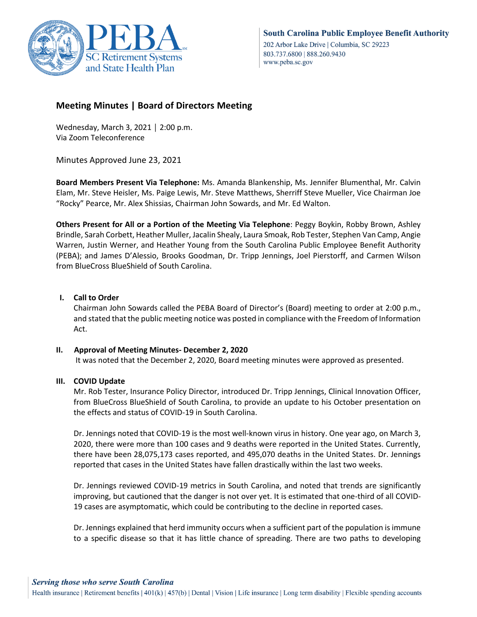

# **Meeting Minutes | Board of Directors Meeting**

Wednesday, March 3, 2021 │ 2:00 p.m. Via Zoom Teleconference

Minutes Approved June 23, 2021

**Board Members Present Via Telephone:** Ms. Amanda Blankenship, Ms. Jennifer Blumenthal, Mr. Calvin Elam, Mr. Steve Heisler, Ms. Paige Lewis, Mr. Steve Matthews, Sherriff Steve Mueller, Vice Chairman Joe "Rocky" Pearce, Mr. Alex Shissias, Chairman John Sowards, and Mr. Ed Walton.

**Others Present for All or a Portion of the Meeting Via Telephone**: Peggy Boykin, Robby Brown, Ashley Brindle, Sarah Corbett, Heather Muller, Jacalin Shealy, Laura Smoak, Rob Tester, Stephen Van Camp, Angie Warren, Justin Werner, and Heather Young from the South Carolina Public Employee Benefit Authority (PEBA); and James D'Alessio, Brooks Goodman, Dr. Tripp Jennings, Joel Pierstorff, and Carmen Wilson from BlueCross BlueShield of South Carolina.

# **I. Call to Order**

Chairman John Sowards called the PEBA Board of Director's (Board) meeting to order at 2:00 p.m., and stated that the public meeting notice was posted in compliance with the Freedom of Information Act.

## **II. Approval of Meeting Minutes- December 2, 2020**

It was noted that the December 2, 2020, Board meeting minutes were approved as presented.

## **III. COVID Update**

Mr. Rob Tester, Insurance Policy Director, introduced Dr. Tripp Jennings, Clinical Innovation Officer, from BlueCross BlueShield of South Carolina, to provide an update to his October presentation on the effects and status of COVID-19 in South Carolina.

Dr. Jennings noted that COVID-19 is the most well-known virus in history. One year ago, on March 3, 2020, there were more than 100 cases and 9 deaths were reported in the United States. Currently, there have been 28,075,173 cases reported, and 495,070 deaths in the United States. Dr. Jennings reported that cases in the United States have fallen drastically within the last two weeks.

Dr. Jennings reviewed COVID-19 metrics in South Carolina, and noted that trends are significantly improving, but cautioned that the danger is not over yet. It is estimated that one-third of all COVID-19 cases are asymptomatic, which could be contributing to the decline in reported cases.

Dr. Jennings explained that herd immunity occurs when a sufficient part of the population is immune to a specific disease so that it has little chance of spreading. There are two paths to developing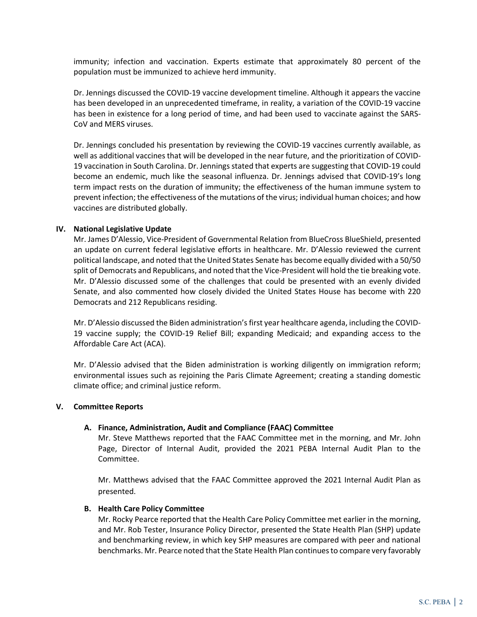immunity; infection and vaccination. Experts estimate that approximately 80 percent of the population must be immunized to achieve herd immunity.

Dr. Jennings discussed the COVID-19 vaccine development timeline. Although it appears the vaccine has been developed in an unprecedented timeframe, in reality, a variation of the COVID-19 vaccine has been in existence for a long period of time, and had been used to vaccinate against the SARS-CoV and MERS viruses.

Dr. Jennings concluded his presentation by reviewing the COVID-19 vaccines currently available, as well as additional vaccines that will be developed in the near future, and the prioritization of COVID-19 vaccination in South Carolina. Dr. Jennings stated that experts are suggesting that COVID-19 could become an endemic, much like the seasonal influenza. Dr. Jennings advised that COVID-19's long term impact rests on the duration of immunity; the effectiveness of the human immune system to prevent infection; the effectiveness of the mutations of the virus; individual human choices; and how vaccines are distributed globally.

## **IV. National Legislative Update**

Mr. James D'Alessio, Vice-President of Governmental Relation from BlueCross BlueShield, presented an update on current federal legislative efforts in healthcare. Mr. D'Alessio reviewed the current political landscape, and noted that the United States Senate has become equally divided with a 50/50 split of Democrats and Republicans, and noted that the Vice-President will hold the tie breaking vote. Mr. D'Alessio discussed some of the challenges that could be presented with an evenly divided Senate, and also commented how closely divided the United States House has become with 220 Democrats and 212 Republicans residing.

Mr. D'Alessio discussed the Biden administration's first year healthcare agenda, including the COVID-19 vaccine supply; the COVID-19 Relief Bill; expanding Medicaid; and expanding access to the Affordable Care Act (ACA).

Mr. D'Alessio advised that the Biden administration is working diligently on immigration reform; environmental issues such as rejoining the Paris Climate Agreement; creating a standing domestic climate office; and criminal justice reform.

### **V. Committee Reports**

## **A. Finance, Administration, Audit and Compliance (FAAC) Committee**

Mr. Steve Matthews reported that the FAAC Committee met in the morning, and Mr. John Page, Director of Internal Audit, provided the 2021 PEBA Internal Audit Plan to the Committee.

Mr. Matthews advised that the FAAC Committee approved the 2021 Internal Audit Plan as presented.

### **B. Health Care Policy Committee**

Mr. Rocky Pearce reported that the Health Care Policy Committee met earlier in the morning, and Mr. Rob Tester, Insurance Policy Director, presented the State Health Plan (SHP) update and benchmarking review, in which key SHP measures are compared with peer and national benchmarks. Mr. Pearce noted that the State Health Plan continues to compare very favorably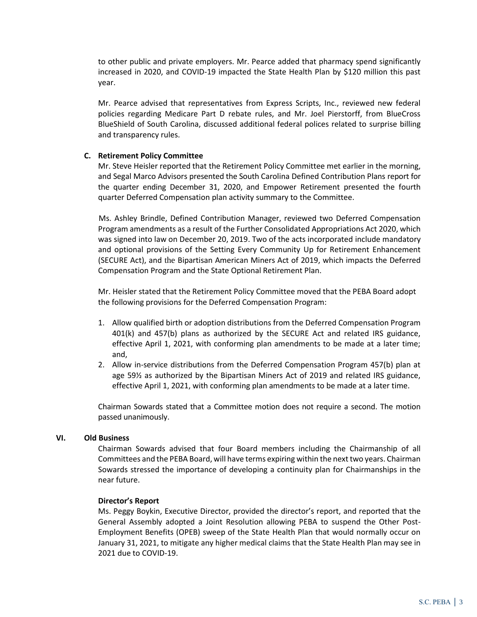to other public and private employers. Mr. Pearce added that pharmacy spend significantly increased in 2020, and COVID-19 impacted the State Health Plan by \$120 million this past year.

Mr. Pearce advised that representatives from Express Scripts, Inc., reviewed new federal policies regarding Medicare Part D rebate rules, and Mr. Joel Pierstorff, from BlueCross BlueShield of South Carolina, discussed additional federal polices related to surprise billing and transparency rules.

## **C. Retirement Policy Committee**

Mr. Steve Heisler reported that the Retirement Policy Committee met earlier in the morning, and Segal Marco Advisors presented the South Carolina Defined Contribution Plans report for the quarter ending December 31, 2020, and Empower Retirement presented the fourth quarter Deferred Compensation plan activity summary to the Committee.

 Ms. Ashley Brindle, Defined Contribution Manager, reviewed two Deferred Compensation Program amendments as a result of the Further Consolidated Appropriations Act 2020, which was signed into law on December 20, 2019. Two of the acts incorporated include mandatory and optional provisions of the Setting Every Community Up for Retirement Enhancement (SECURE Act), and the Bipartisan American Miners Act of 2019, which impacts the Deferred Compensation Program and the State Optional Retirement Plan.

Mr. Heisler stated that the Retirement Policy Committee moved that the PEBA Board adopt the following provisions for the Deferred Compensation Program:

- 1. Allow qualified birth or adoption distributions from the Deferred Compensation Program 401(k) and 457(b) plans as authorized by the SECURE Act and related IRS guidance, effective April 1, 2021, with conforming plan amendments to be made at a later time; and,
- 2. Allow in-service distributions from the Deferred Compensation Program 457(b) plan at age 59½ as authorized by the Bipartisan Miners Act of 2019 and related IRS guidance, effective April 1, 2021, with conforming plan amendments to be made at a later time.

Chairman Sowards stated that a Committee motion does not require a second. The motion passed unanimously.

### **VI. Old Business**

Chairman Sowards advised that four Board members including the Chairmanship of all Committees and the PEBA Board, will have terms expiring within the next two years. Chairman Sowards stressed the importance of developing a continuity plan for Chairmanships in the near future.

### **Director's Report**

Ms. Peggy Boykin, Executive Director, provided the director's report, and reported that the General Assembly adopted a Joint Resolution allowing PEBA to suspend the Other Post-Employment Benefits (OPEB) sweep of the State Health Plan that would normally occur on January 31, 2021, to mitigate any higher medical claims that the State Health Plan may see in 2021 due to COVID-19.